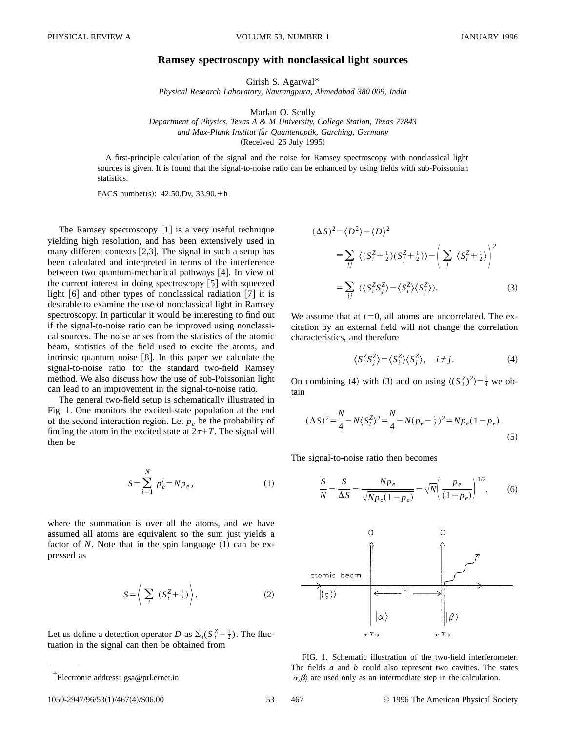## **Ramsey spectroscopy with nonclassical light sources**

Girish S. Agarwal\*

*Physical Research Laboratory, Navrangpura, Ahmedabad 380 009, India*

Marlan O. Scully

*Department of Physics, Texas A & M University, College Station, Texas 77843 and Max-Plank Institut fu¨r Quantenoptik, Garching, Germany*  $(Received 26 July 1995)$ 

A first-principle calculation of the signal and the noise for Ramsey spectroscopy with nonclassical light sources is given. It is found that the signal-to-noise ratio can be enhanced by using fields with sub-Poissonian statistics.

PACS number(s):  $42.50 \text{ Dy}$ ,  $33.90.+h$ 

The Ramsey spectroscopy  $[1]$  is a very useful technique yielding high resolution, and has been extensively used in many different contexts  $[2,3]$ . The signal in such a setup has been calculated and interpreted in terms of the interference between two quantum-mechanical pathways [4]. In view of the current interest in doing spectroscopy  $[5]$  with squeezed light  $[6]$  and other types of nonclassical radiation  $[7]$  it is desirable to examine the use of nonclassical light in Ramsey spectroscopy. In particular it would be interesting to find out if the signal-to-noise ratio can be improved using nonclassical sources. The noise arises from the statistics of the atomic beam, statistics of the field used to excite the atoms, and intrinsic quantum noise  $[8]$ . In this paper we calculate the signal-to-noise ratio for the standard two-field Ramsey method. We also discuss how the use of sub-Poissonian light can lead to an improvement in the signal-to-noise ratio.

The general two-field setup is schematically illustrated in Fig. 1. One monitors the excited-state population at the end of the second interaction region. Let  $p_e$  be the probability of finding the atom in the excited state at  $2\tau+T$ . The signal will then be

$$
S = \sum_{i=1}^{N} p_e^i = N p_e, \qquad (1)
$$

where the summation is over all the atoms, and we have assumed all atoms are equivalent so the sum just yields a factor of  $N$ . Note that in the spin language  $(1)$  can be expressed as

$$
S = \left\langle \sum_{i} (S_i^Z + \frac{1}{2}) \right\rangle. \tag{2}
$$

Let us define a detection operator *D* as  $\Sigma_i(S_i^Z + \frac{1}{2})$ . The fluctuation in the signal can then be obtained from

$$
(\Delta S)^2 = \langle D^2 \rangle - \langle D \rangle^2
$$
  
\n
$$
\equiv \sum_{ij} \langle (S_i^Z + \frac{1}{2})(S_j^Z + \frac{1}{2}) \rangle - \left( \sum_i \langle S_i^Z + \frac{1}{2} \rangle \right)^2
$$
  
\n
$$
= \sum_{ij} \langle \langle S_i^Z S_j^Z \rangle - \langle S_i^Z \rangle \langle S_j^Z \rangle ).
$$
 (3)

We assume that at  $t=0$ , all atoms are uncorrelated. The excitation by an external field will not change the correlation characteristics, and therefore

$$
\langle S_i^Z S_j^Z \rangle = \langle S_i^Z \rangle \langle S_j^Z \rangle, \quad i \neq j. \tag{4}
$$

On combining (4) with (3) and on using  $\langle (S_i^Z)^2 \rangle = \frac{1}{4}$  we obtain

$$
(\Delta S)^{2} = \frac{N}{4} - N \langle S_{i}^{Z} \rangle^{2} = \frac{N}{4} - N(p_{e} - \frac{1}{2})^{2} = Np_{e}(1 - p_{e}).
$$
\n(5)

The signal-to-noise ratio then becomes

$$
\frac{S}{N} = \frac{S}{\Delta S} = \frac{Np_e}{\sqrt{Np_e(1-p_e)}} = \sqrt{N} \left(\frac{p_e}{(1-p_e)}\right)^{1/2}.
$$
 (6)



FIG. 1. Schematic illustration of the two-field interferometer. The fields *a* and *b* could also represent two cavities. The states  $|\alpha,\beta\rangle$  are used only as an intermediate step in the calculation.

<sup>\*</sup>Electronic address: gsa@prl.ernet.in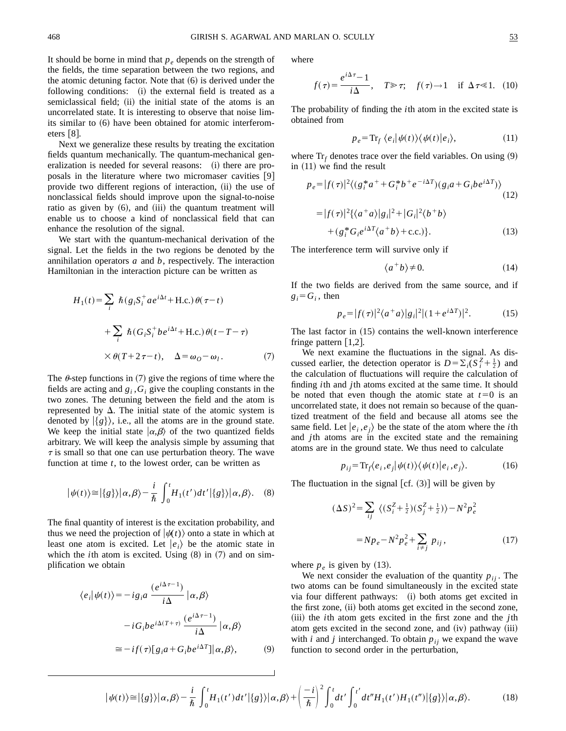It should be borne in mind that  $p_e$  depends on the strength of the fields, the time separation between the two regions, and the atomic detuning factor. Note that  $(6)$  is derived under the following conditions: (i) the external field is treated as a semiclassical field; (ii) the initial state of the atoms is an uncorrelated state. It is interesting to observe that noise limits similar to  $(6)$  have been obtained for atomic interferometers  $[8]$ .

Next we generalize these results by treating the excitation fields quantum mechanically. The quantum-mechanical generalization is needed for several reasons: (i) there are proposals in the literature where two micromaser cavities [9] provide two different regions of interaction, (ii) the use of nonclassical fields should improve upon the signal-to-noise ratio as given by  $(6)$ , and  $(iii)$  the quantum treatment will enable us to choose a kind of nonclassical field that can enhance the resolution of the signal.

We start with the quantum-mechanical derivation of the signal. Let the fields in the two regions be denoted by the annihilation operators *a* and *b*, respectively. The interaction Hamiltonian in the interaction picture can be written as

$$
H_1(t) = \sum_i \hbar (g_i S_i^+ a e^{i\Delta t} + \text{H.c.}) \theta(\tau - t)
$$
  
+ 
$$
\sum_i \hbar (G_i S_i^+ b e^{i\Delta t} + \text{H.c.}) \theta(t - T - \tau)
$$
  

$$
\times \theta(T + 2\tau - t), \quad \Delta = \omega_O - \omega_l. \tag{7}
$$

The  $\theta$ -step functions in (7) give the regions of time where the fields are acting and  $g_i$ ,  $G_i$  give the coupling constants in the two zones. The detuning between the field and the atom is represented by  $\Delta$ . The initial state of the atomic system is denoted by  $|\{g\}\rangle$ , i.e., all the atoms are in the ground state. We keep the initial state  $|\alpha, \beta\rangle$  of the two quantized fields arbitrary. We will keep the analysis simple by assuming that  $\tau$  is small so that one can use perturbation theory. The wave function at time *t*, to the lowest order, can be written as

$$
|\psi(t)\rangle \approx |\{g\}\rangle |\alpha,\beta\rangle - \frac{i}{\hbar} \int_0^t H_1(t')dt' |\{g\}\rangle |\alpha,\beta\rangle. \quad (8)
$$

The final quantity of interest is the excitation probability, and thus we need the projection of  $|\psi(t)\rangle$  onto a state in which at least one atom is excited. Let  $|e_i\rangle$  be the atomic state in which the *i*th atom is excited. Using  $(8)$  in  $(7)$  and on simplification we obtain

$$
\langle e_i | \psi(t) \rangle = -ig_i a \frac{(e^{i\Delta \tau - 1})}{i\Delta} | \alpha, \beta \rangle
$$

$$
-iG_i b e^{i\Delta(T+\tau)} \frac{(e^{i\Delta \tau - 1})}{i\Delta} | \alpha, \beta \rangle
$$

$$
\approx -if(\tau)[g_i a + G_i b e^{i\Delta T}] | \alpha, \beta \rangle, \qquad (9)
$$

where

$$
f(\tau) = \frac{e^{i\Delta \tau} - 1}{i\Delta}, \quad T \gg \tau; \quad f(\tau) \to 1 \quad \text{if } \Delta \tau \ll 1. \tag{10}
$$

The probability of finding the *i*th atom in the excited state is obtained from

$$
p_e = \text{Tr}_f \langle e_i | \psi(t) \rangle \langle \psi(t) | e_i \rangle, \tag{11}
$$

where  $Tr_f$  denotes trace over the field variables. On using  $(9)$ in  $(11)$  we find the result

$$
p_e = |f(\tau)|^2 \langle (g_i^* a^+ + G_i^* b^+ e^{-i\Delta T}) (g_i a + G_i b e^{i\Delta T}) \rangle
$$
  
\n
$$
= |f(\tau)|^2 \{ \langle a^+ a \rangle |g_i|^2 + |G_i|^2 \langle b^+ b \rangle
$$
  
\n
$$
+ (g_i^* G_i e^{i\Delta T} \langle a^+ b \rangle + \text{c.c.}) \}.
$$
\n(13)

The interference term will survive only if

$$
\langle a^+b \rangle \neq 0. \tag{14}
$$

If the two fields are derived from the same source, and if  $g_i = G_i$ , then

$$
p_e = |f(\tau)|^2 \langle a^+ a \rangle |g_i|^2 |(1 + e^{i\Delta T})|^2. \tag{15}
$$

The last factor in  $(15)$  contains the well-known interference fringe pattern  $|1,2|$ .

We next examine the fluctuations in the signal. As discussed earlier, the detection operator is  $D = \sum_{i} (S_i^Z + \frac{1}{2})$  and the calculation of fluctuations will require the calculation of finding *i*th and *j*th atoms excited at the same time. It should be noted that even though the atomic state at  $t=0$  is an uncorrelated state, it does not remain so because of the quantized treatment of the field and because all atoms see the same field. Let  $|e_i, e_j\rangle$  be the state of the atom where the *i*th and *j*th atoms are in the excited state and the remaining atoms are in the ground state. We thus need to calculate

$$
p_{ij} = \text{Tr}_f \langle e_i, e_j | \psi(t) \rangle \langle \psi(t) | e_i, e_j \rangle. \tag{16}
$$

The fluctuation in the signal  $[cf. (3)]$  will be given by

$$
(\Delta S)^{2} = \sum_{ij} \langle (S_{i}^{Z} + \frac{1}{2})(S_{j}^{Z} + \frac{1}{2}) \rangle - N^{2} p_{e}^{2}
$$

$$
= N p_{e} - N^{2} p_{e}^{2} + \sum_{i \neq j} p_{ij}, \qquad (17)
$$

where  $p_e$  is given by (13).

We next consider the evaluation of the quantity  $p_{ij}$ . The two atoms can be found simultaneously in the excited state via four different pathways: (i) both atoms get excited in the first zone, (ii) both atoms get excited in the second zone, (iii) the *i*th atom gets excited in the first zone and the *j*th atom gets excited in the second zone, and  $(iv)$  pathway  $(iii)$ with  $i$  and  $j$  interchanged. To obtain  $p_{ij}$  we expand the wave function to second order in the perturbation,

$$
|\psi(t)\rangle \approx |\{g\}\rangle |\alpha,\beta\rangle - \frac{i}{\hbar} \int_0^t H_1(t')dt' |\{g\}\rangle |\alpha,\beta\rangle + \left(\frac{-i}{\hbar}\right)^2 \int_0^t dt' \int_0^{t'} dt'' H_1(t')H_1(t'')|\{g\}\rangle |\alpha,\beta\rangle. \tag{18}
$$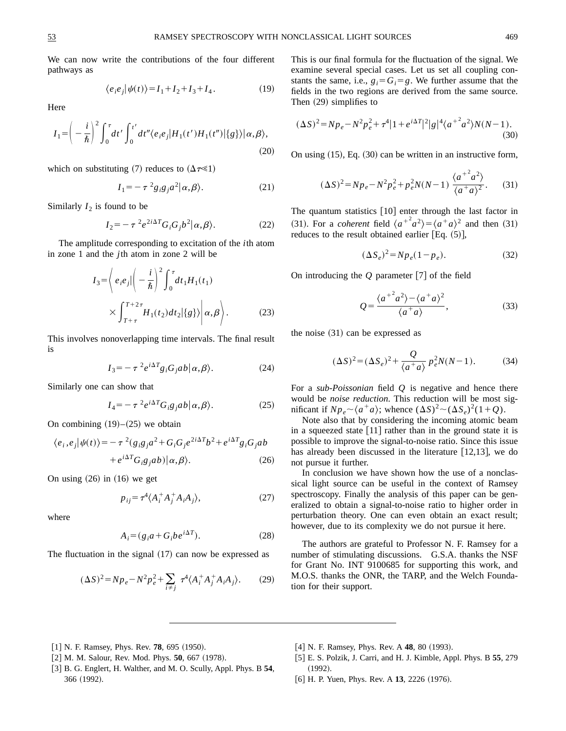We can now write the contributions of the four different pathways as

$$
\langle e_i e_j | \psi(t) \rangle = I_1 + I_2 + I_3 + I_4. \tag{19}
$$

Here

$$
I_1 = \left(-\frac{i}{\hbar}\right)^2 \int_0^{\tau} dt' \int_0^{t'} dt'' \langle e_i e_j | H_1(t') H_1(t'') | \{g\} \rangle | \alpha, \beta \rangle,
$$
\n(20)

which on substituting (7) reduces to  $(\Delta \tau \ll 1)$ 

$$
I_1 = -\tau^2 g_i g_j a^2 |\alpha, \beta\rangle.
$$
 (21)

Similarly  $I_2$  is found to be

$$
I_2 = -\tau^2 e^{2i\Delta T} G_i G_j b^2 |\alpha, \beta\rangle.
$$
 (22)

The amplitude corresponding to excitation of the *i*th atom in zone 1 and the  $j$ th atom in zone 2 will be

$$
I_3 = \left\langle e_i e_j \middle| \left( -\frac{i}{\hbar} \right)^2 \int_0^{\tau} dt_1 H_1(t_1) \right. \\ \times \left. \int_{T+\tau}^{T+2\tau} H_1(t_2) dt_2 \middle| \{ g \} \right\rangle \middle| \alpha, \beta \right\rangle. \tag{23}
$$

This involves nonoverlapping time intervals. The final result is

$$
I_3 = -\tau^2 e^{i\Delta T} g_i G_j a b | \alpha, \beta \rangle. \tag{24}
$$

Similarly one can show that

$$
I_4 = -\tau^2 e^{i\Delta T} G_i g_j a b | \alpha, \beta \rangle. \tag{25}
$$

On combining  $(19)$ – $(25)$  we obtain

$$
\langle e_i, e_j | \psi(t) \rangle = -\tau^2 (g_i g_j a^2 + G_i G_j e^{2i\Delta T} b^2 + e^{i\Delta T} g_i G_j ab + e^{i\Delta T} G_i g_j ab) | \alpha, \beta \rangle.
$$
 (26)

On using  $(26)$  in  $(16)$  we get

$$
p_{ij} = \tau^4 \langle A_i^+ A_j^+ A_i A_j \rangle, \tag{27}
$$

where

$$
A_i = (g_i a + G_i b e^{i\Delta T}).
$$
\n(28)

The fluctuation in the signal  $(17)$  can now be expressed as

$$
(\Delta S)^2 = N p_e - N^2 p_e^2 + \sum_{i \neq j} \tau^4 \langle A_i^+ A_j^+ A_i A_j \rangle. \tag{29}
$$

This is our final formula for the fluctuation of the signal. We examine several special cases. Let us set all coupling constants the same, i.e.,  $g_i = G_i = g$ . We further assume that the fields in the two regions are derived from the same source. Then  $(29)$  simplifies to

$$
(\Delta S)^{2} = N p_{e} - N^{2} p_{e}^{2} + \tau^{4} |1 + e^{i\Delta T}|^{2} |g|^{4} \langle a^{2} a^{2} \rangle N(N-1).
$$
\n(30)

On using  $(15)$ , Eq.  $(30)$  can be written in an instructive form,

$$
(\Delta S)^2 = N p_e - N^2 p_e^2 + p_e^2 N(N-1) \frac{\langle a^{+2} a^2 \rangle}{\langle a^{+} a \rangle^2}.
$$
 (31)

The quantum statistics  $\lceil 10 \rceil$  enter through the last factor in (31). For a *coherent* field  $\langle a^{+2} a^{2} \rangle = \langle a^{+} a \rangle^{2}$  and then (31) reduces to the result obtained earlier [Eq.  $(5)$ ],

$$
(\Delta S_e)^2 = N p_e (1 - p_e). \tag{32}
$$

On introducing the O parameter [7] of the field

$$
Q = \frac{\langle a^{+2}a^{2}\rangle - \langle a^{+}a\rangle^{2}}{\langle a^{+}a\rangle},
$$
\n(33)

the noise  $(31)$  can be expressed as

$$
(\Delta S)^2 = (\Delta S_e)^2 + \frac{Q}{\langle a^+ a \rangle} p_e^2 N(N-1). \tag{34}
$$

For a sub-Poissonian field  $Q$  is negative and hence there would be *noise reduction*. This reduction will be most significant if  $Np_e \sim \langle a^+a \rangle$ ; whence  $(\Delta S)^2 \sim (\Delta S_e)^2 (1+Q)$ .

Note also that by considering the incoming atomic beam in a squeezed state  $\lceil 11 \rceil$  rather than in the ground state it is possible to improve the signal-to-noise ratio. Since this issue has already been discussed in the literature  $[12,13]$ , we do not pursue it further.

In conclusion we have shown how the use of a nonclassical light source can be useful in the context of Ramsey spectroscopy. Finally the analysis of this paper can be generalized to obtain a signal-to-noise ratio to higher order in perturbation theory. One can even obtain an exact result; however, due to its complexity we do not pursue it here.

The authors are grateful to Professor N. F. Ramsey for a number of stimulating discussions. G.S.A. thanks the NSF for Grant No. INT 9100685 for supporting this work, and M.O.S. thanks the ONR, the TARP, and the Welch Foundation for their support.

- [1] N. F. Ramsey, Phys. Rev. 78, 695 (1950).
- [2] M. M. Salour, Rev. Mod. Phys. 50, 667 (1978).
- [3] B. G. Englert, H. Walther, and M. O. Scully, Appl. Phys. B 54, 366 (1992).
- [4] N. F. Ramsey, Phys. Rev. A 48, 80 (1993).
- [5] E. S. Polzik, J. Carri, and H. J. Kimble, Appl. Phys. B 55, 279  $(1992).$
- [6] H. P. Yuen, Phys. Rev. A 13, 2226 (1976).